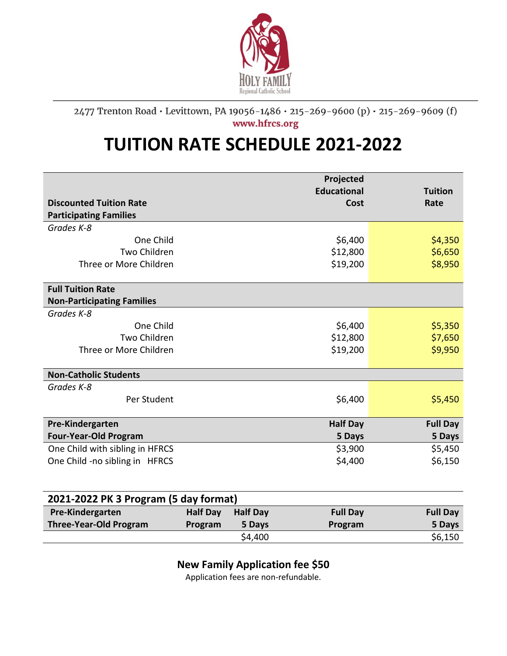

## 2477 Trenton Road · Levittown, PA 19056-1486 · 215-269-9600 (p) · 215-269-9609 (f) www.hfrcs.org

## **TUITION RATE SCHEDULE 2021-2022**

|                                   | Projected<br><b>Educational</b> | <b>Tuition</b>  |
|-----------------------------------|---------------------------------|-----------------|
| <b>Discounted Tuition Rate</b>    | Cost                            | Rate            |
| <b>Participating Families</b>     |                                 |                 |
| Grades K-8                        |                                 |                 |
| One Child                         | \$6,400                         | \$4,350         |
| <b>Two Children</b>               | \$12,800                        | \$6,650         |
| Three or More Children            | \$19,200                        | \$8,950         |
|                                   |                                 |                 |
| <b>Full Tuition Rate</b>          |                                 |                 |
| <b>Non-Participating Families</b> |                                 |                 |
| Grades K-8                        |                                 |                 |
| One Child                         | \$6,400                         | \$5,350         |
| Two Children                      | \$12,800                        | \$7,650         |
| Three or More Children            | \$19,200                        | \$9,950         |
|                                   |                                 |                 |
| <b>Non-Catholic Students</b>      |                                 |                 |
| Grades K-8                        |                                 |                 |
| Per Student                       | \$6,400                         | \$5,450         |
|                                   |                                 |                 |
| Pre-Kindergarten                  | <b>Half Day</b>                 | <b>Full Day</b> |
| <b>Four-Year-Old Program</b>      | 5 Days                          | 5 Days          |
| One Child with sibling in HFRCS   | \$3,900                         | \$5,450         |
| One Child -no sibling in HFRCS    | \$4,400                         | \$6,150         |
|                                   |                                 |                 |
|                                   |                                 |                 |

| 2021-2022 PK 3 Program (5 day format) |                 |                 |                 |                 |  |  |
|---------------------------------------|-----------------|-----------------|-----------------|-----------------|--|--|
| Pre-Kindergarten                      | <b>Half Day</b> | <b>Half Day</b> | <b>Full Day</b> | <b>Full Day</b> |  |  |
| <b>Three-Year-Old Program</b>         | Program         | 5 Days          | Program         | 5 Days          |  |  |
|                                       |                 | \$4,400         |                 | \$6,150         |  |  |

## **New Family Application fee \$50**

Application fees are non-refundable.